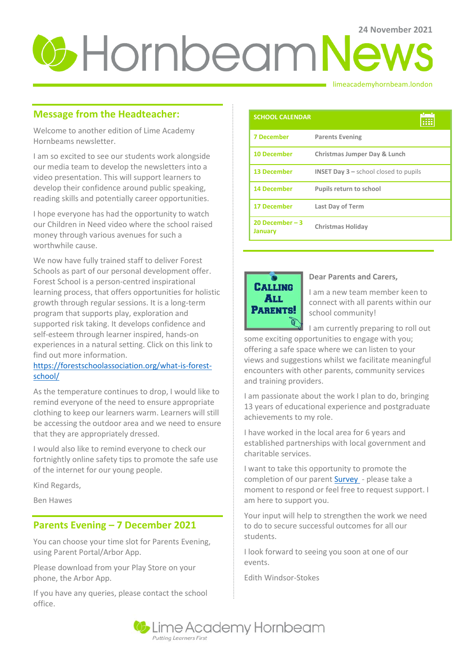# **24** News

#### limeacademyhornbeam.london

### **Message from the Headteacher:**

Welcome to another edition of Lime Academy Hornbeams newsletter.

I am so excited to see our students work alongside our media team to develop the newsletters into a video presentation. This will support learners to develop their confidence around public speaking, reading skills and potentially career opportunities.

I hope everyone has had the opportunity to watch our Children in Need video where the school raised money through various avenues for such a worthwhile cause.

We now have fully trained staff to deliver Forest Schools as part of our personal development offer. Forest School is a person-centred inspirational learning process, that offers opportunities for holistic growth through regular sessions. It is a long-term program that supports play, exploration and supported risk taking. It develops confidence and self-esteem through learner inspired, hands-on experiences in a natural setting. Click on this link to find out more information.

#### [https://forestschoolassociation.org/what-is-forest](https://forestschoolassociation.org/what-is-forest-school/)[school/](https://forestschoolassociation.org/what-is-forest-school/)

As the temperature continues to drop, I would like to remind everyone of the need to ensure appropriate clothing to keep our learners warm. Learners will still be accessing the outdoor area and we need to ensure that they are appropriately dressed.

I would also like to remind everyone to check our fortnightly online safety tips to promote the safe use of the internet for our young people.

Kind Regards,

Ben Hawes

#### **Parents Evening – 7 December 2021**

You can choose your time slot for Parents Evening, using Parent Portal/Arbor App.

Please download from your Play Store on your phone, the Arbor App.

If you have any queries, please contact the school office.

| <b>SCHOOL CALENDAR</b>             |                                                           |
|------------------------------------|-----------------------------------------------------------|
| <b>7 December</b>                  | <b>Parents Evening</b>                                    |
| <b>10 December</b>                 | Christmas Jumper Day & Lunch                              |
| <b>13 December</b>                 | <b>INSET Day <math>3</math> – school closed to pupils</b> |
| <b>14 December</b>                 | <b>Pupils return to school</b>                            |
| <b>17 December</b>                 | Last Day of Term                                          |
| 20 December $-3$<br><b>January</b> | <b>Christmas Holiday</b>                                  |



#### **Dear Parents and Carers,**

I am a new team member keen to connect with all parents within our school community!

I am currently preparing to roll out some exciting opportunities to engage with you; offering a safe space where we can listen to your views and suggestions whilst we facilitate meaningful encounters with other parents, community services and training providers.

I am passionate about the work I plan to do, bringing 13 years of educational experience and postgraduate achievements to my role.

I have worked in the local area for 6 years and established partnerships with local government and charitable services.

I want to take this opportunity to promote the completion of our parent **Survey** - please take a moment to respond or feel free to request support. I am here to support you.

Your input will help to strengthen the work we need to do to secure successful outcomes for all our students.

I look forward to seeing you soon at one of our events.

Edith Windsor-Stokes

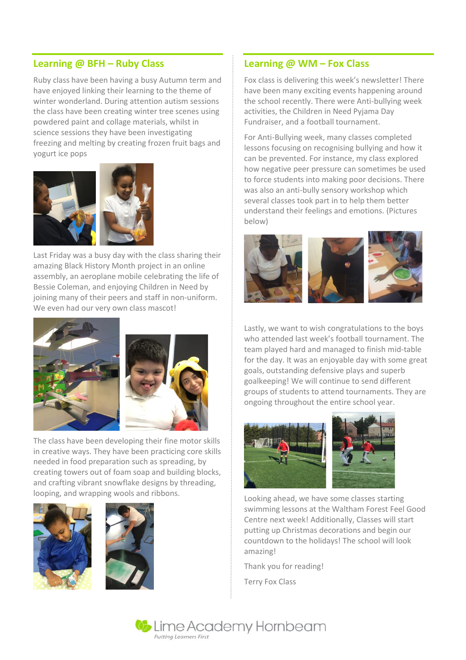#### **Learning @ BFH – Ruby Class**

Ruby class have been having a busy Autumn term and have enjoyed linking their learning to the theme of winter wonderland. During attention autism sessions the class have been creating winter tree scenes using powdered paint and collage materials, whilst in science sessions they have been investigating freezing and melting by creating frozen fruit bags and yogurt ice pops



Last Friday was a busy day with the class sharing their amazing Black History Month project in an online assembly, an aeroplane mobile celebrating the life of Bessie Coleman, and enjoying Children in Need by joining many of their peers and staff in non-uniform. We even had our very own class mascot!





The class have been developing their fine motor skills in creative ways. They have been practicing core skills needed in food preparation such as spreading, by creating towers out of foam soap and building blocks, and crafting vibrant snowflake designs by threading, looping, and wrapping wools and ribbons.





#### **Learning @ WM – Fox Class**

Fox class is delivering this week's newsletter! There have been many exciting events happening around the school recently. There were Anti-bullying week activities, the Children in Need Pyjama Day Fundraiser, and a football tournament.

For Anti-Bullying week, many classes completed lessons focusing on recognising bullying and how it can be prevented. For instance, my class explored how negative peer pressure can sometimes be used to force students into making poor decisions. There was also an anti-bully sensory workshop which several classes took part in to help them better understand their feelings and emotions. (Pictures below)



Lastly, we want to wish congratulations to the boys who attended last week's football tournament. The team played hard and managed to finish mid-table for the day. It was an enjoyable day with some great goals, outstanding defensive plays and superb goalkeeping! We will continue to send different groups of students to attend tournaments. They are ongoing throughout the entire school year.



Looking ahead, we have some classes starting swimming lessons at the Waltham Forest Feel Good Centre next week! Additionally, Classes will start putting up Christmas decorations and begin our countdown to the holidays! The school will look amazing!

Thank you for reading!

Terry Fox Class